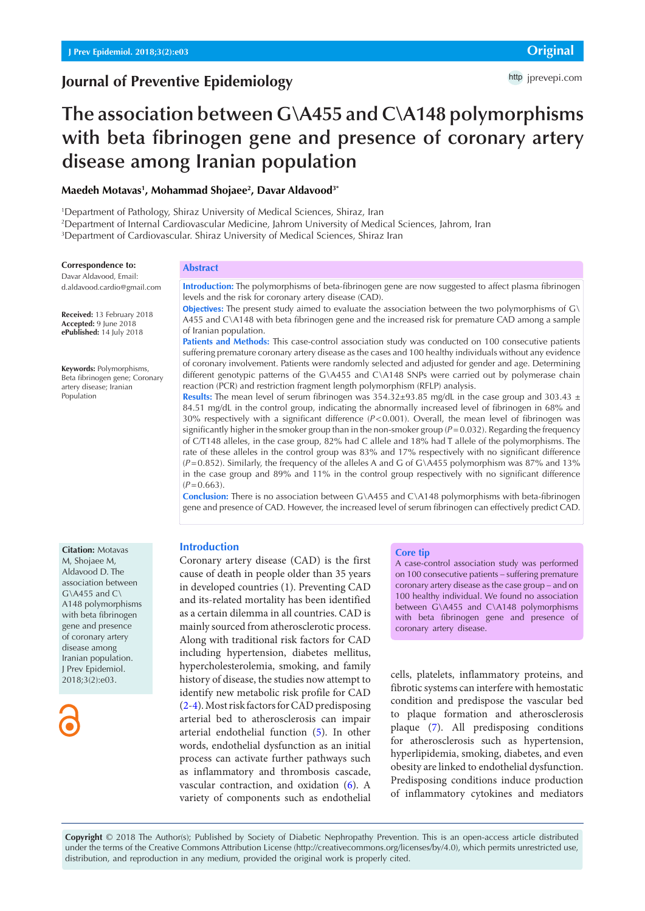## **Journal of Preventive Epidemiology**

# **The association between G\A455 and C\A148 polymorphisms with beta fibrinogen gene and presence of coronary artery disease among Iranian population**

## **Maedeh Motavas1 , Mohammad Shojaee2 , Davar Aldavood3\***

1 Department of Pathology, Shiraz University of Medical Sciences, Shiraz, Iran 2 Department of Internal Cardiovascular Medicine, Jahrom University of Medical Sciences, Jahrom, Iran 3 Department of Cardiovascular. Shiraz University of Medical Sciences, Shiraz Iran

#### **Correspondence to:**

Davar Aldavood, Email: d.aldavood.cardio@gmail.com

**Received:** 13 February 2018 **Accepted:** 9 June 2018 **ePublished:** 14 July 2018

**Keywords:** Polymorphisms, Beta fibrinogen gene; Coronary artery disease; Iranian Population

#### **Abstract**

**Introduction:** The polymorphisms of beta-fibrinogen gene are now suggested to affect plasma fibrinogen levels and the risk for coronary artery disease (CAD).

**Objectives:** The present study aimed to evaluate the association between the two polymorphisms of G\ A455 and C\A148 with beta fibrinogen gene and the increased risk for premature CAD among a sample of Iranian population.

Patients and Methods: This case-control association study was conducted on 100 consecutive patients suffering premature coronary artery disease as the cases and 100 healthy individuals without any evidence of coronary involvement. Patients were randomly selected and adjusted for gender and age. Determining different genotypic patterns of the G\A455 and C\A148 SNPs were carried out by polymerase chain reaction (PCR) and restriction fragment length polymorphism (RFLP) analysis.

**Results:** The mean level of serum fibrinogen was  $354.32 \pm 93.85$  mg/dL in the case group and  $303.43 \pm 1.5$ 84.51 mg/dL in the control group, indicating the abnormally increased level of fibrinogen in 68% and 30% respectively with a significant difference (*P*<0.001). Overall, the mean level of fibrinogen was significantly higher in the smoker group than in the non-smoker group (*P*=0.032). Regarding the frequency of C/T148 alleles, in the case group, 82% had C allele and 18% had T allele of the polymorphisms. The rate of these alleles in the control group was 83% and 17% respectively with no significant difference  $(P=0.852)$ . Similarly, the frequency of the alleles A and G of G\A455 polymorphism was 87% and 13% in the case group and 89% and 11% in the control group respectively with no significant difference  $(P=0.663)$ .

**Conclusion:** There is no association between G\A455 and C\A148 polymorphisms with beta-fibrinogen gene and presence of CAD. However, the increased level of serum fibrinogen can effectively predict CAD.

## **Introduction**

Coronary artery disease (CAD) is the first cause of death in people older than 35 years in developed countries (1). Preventing CAD and its-related mortality has been identified as a certain dilemma in all countries. CAD is mainly sourced from atherosclerotic process. Along with traditional risk factors for CAD including hypertension, diabetes mellitus, hypercholesterolemia, smoking, and family history of disease, the studies now attempt to identify new metabolic risk profile for CAD [\(2](#page-3-0)-[4](#page-3-1)). Most risk factors for CAD predisposing arterial bed to atherosclerosis can impair arterial endothelial function ([5\)](#page-3-2). In other words, endothelial dysfunction as an initial process can activate further pathways such as inflammatory and thrombosis cascade, vascular contraction, and oxidation ([6](#page-3-3)). A variety of components such as endothelial

#### **Core tip**

A case-control association study was performed on 100 consecutive patients – suffering premature coronary artery disease as the case group – and on 100 healthy individual. We found no association between G\A455 and C\A148 polymorphisms with beta fibrinogen gene and presence of coronary artery disease.

cells, platelets, inflammatory proteins, and fibrotic systems can interfere with hemostatic condition and predispose the vascular bed to plaque formation and atherosclerosis plaque ([7\)](#page-3-4). All predisposing conditions for atherosclerosis such as hypertension, hyperlipidemia, smoking, diabetes, and even obesity are linked to endothelial dysfunction. Predisposing conditions induce production of inflammatory cytokines and mediators

**Copyright** © 2018 The Author(s); Published by Society of Diabetic Nephropathy Prevention. This is an open-access article distributed under the terms of the Creative Commons Attribution License (http://creativecommons.org/licenses/by/4.0), which permits unrestricted use, distribution, and reproduction in any medium, provided the original work is properly cited.

#### **Citation:** Motavas M, Shojaee M, Aldavood D. The association between  $G\lambda4455$  and  $C\lambda$ A148 polymorphisms with beta fibrinogen gene and presence of coronary artery disease among Iranian population. J Prev Epidemiol. 2018;3(2):e03.

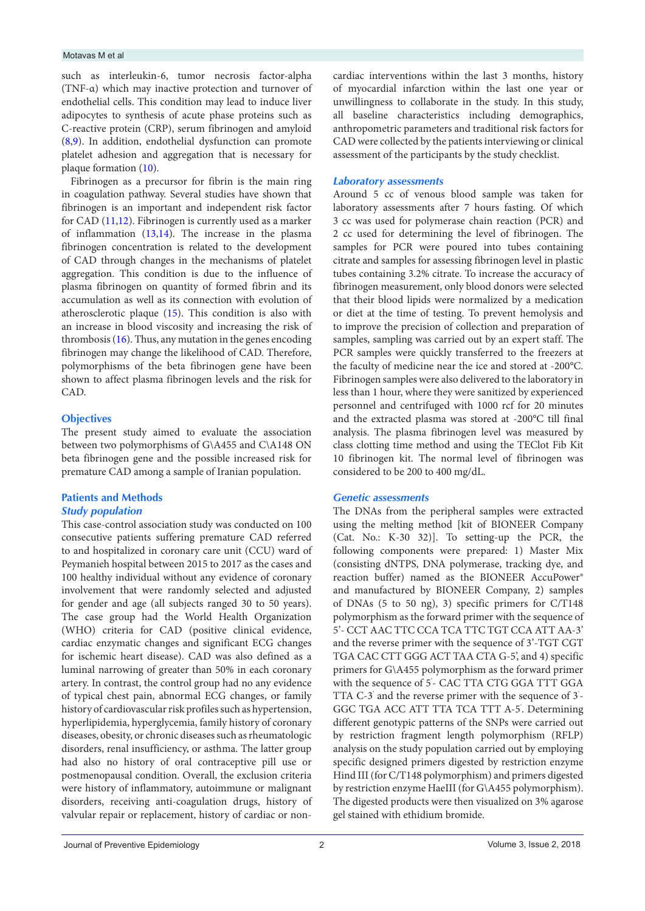#### Motavas M et al

such as interleukin-6, tumor necrosis factor-alpha (TNF-α) which may inactive protection and turnover of endothelial cells. This condition may lead to induce liver adipocytes to synthesis of acute phase proteins such as C-reactive protein (CRP), serum fibrinogen and amyloid [\(8](#page-3-5)[,9](#page-3-6)). In addition, endothelial dysfunction can promote platelet adhesion and aggregation that is necessary for plaque formation ([10](#page-3-7)).

Fibrinogen as a precursor for fibrin is the main ring in coagulation pathway. Several studies have shown that fibrinogen is an important and independent risk factor for CAD [\(11,](#page-3-8)[12\)](#page-3-9). Fibrinogen is currently used as a marker of inflammation [\(13](#page-3-10)[,14\)](#page-3-11). The increase in the plasma fibrinogen concentration is related to the development of CAD through changes in the mechanisms of platelet aggregation. This condition is due to the influence of plasma fibrinogen on quantity of formed fibrin and its accumulation as well as its connection with evolution of atherosclerotic plaque [\(15\)](#page-3-12). This condition is also with an increase in blood viscosity and increasing the risk of thrombosis  $(16)$ . Thus, any mutation in the genes encoding fibrinogen may change the likelihood of CAD. Therefore, polymorphisms of the beta fibrinogen gene have been shown to affect plasma fibrinogen levels and the risk for CAD.

## **Objectives**

The present study aimed to evaluate the association between two polymorphisms of G\A455 and C\A148 ON beta fibrinogen gene and the possible increased risk for premature CAD among a sample of Iranian population.

## **Patients and Methods** *Study population*

This case-control association study was conducted on 100 consecutive patients suffering premature CAD referred to and hospitalized in coronary care unit (CCU) ward of Peymanieh hospital between 2015 to 2017 as the cases and 100 healthy individual without any evidence of coronary involvement that were randomly selected and adjusted for gender and age (all subjects ranged 30 to 50 years). The case group had the World Health Organization (WHO) criteria for CAD (positive clinical evidence, cardiac enzymatic changes and significant ECG changes for ischemic heart disease). CAD was also defined as a luminal narrowing of greater than 50% in each coronary artery. In contrast, the control group had no any evidence of typical chest pain, abnormal ECG changes, or family history of cardiovascular risk profiles such as hypertension, hyperlipidemia, hyperglycemia, family history of coronary diseases, obesity, or chronic diseases such as rheumatologic disorders, renal insufficiency, or asthma. The latter group had also no history of oral contraceptive pill use or postmenopausal condition. Overall, the exclusion criteria were history of inflammatory, autoimmune or malignant disorders, receiving anti-coagulation drugs, history of valvular repair or replacement, history of cardiac or noncardiac interventions within the last 3 months, history of myocardial infarction within the last one year or unwillingness to collaborate in the study. In this study, all baseline characteristics including demographics, anthropometric parameters and traditional risk factors for CAD were collected by the patients interviewing or clinical assessment of the participants by the study checklist.

## *Laboratory assessments*

Around 5 cc of venous blood sample was taken for laboratory assessments after 7 hours fasting. Of which 3 cc was used for polymerase chain reaction (PCR) and 2 cc used for determining the level of fibrinogen. The samples for PCR were poured into tubes containing citrate and samples for assessing fibrinogen level in plastic tubes containing 3.2% citrate. To increase the accuracy of fibrinogen measurement, only blood donors were selected that their blood lipids were normalized by a medication or diet at the time of testing. To prevent hemolysis and to improve the precision of collection and preparation of samples, sampling was carried out by an expert staff. The PCR samples were quickly transferred to the freezers at the faculty of medicine near the ice and stored at -200°C. Fibrinogen samples were also delivered to the laboratory in less than 1 hour, where they were sanitized by experienced personnel and centrifuged with 1000 rcf for 20 minutes and the extracted plasma was stored at -200°C till final analysis. The plasma fibrinogen level was measured by class clotting time method and using the TEClot Fib Kit 10 fibrinogen kit. The normal level of fibrinogen was considered to be 200 to 400 mg/dL.

## *Genetic assessments*

The DNAs from the peripheral samples were extracted using the melting method [kit of BIONEER Company (Cat. No.: K-30 32)]. To setting-up the PCR, the following components were prepared: 1) Master Mix (consisting dNTPS, DNA polymerase, tracking dye, and reaction buffer) named as the BIONEER AccuPower® and manufactured by BIONEER Company, 2) samples of DNAs (5 to 50 ng), 3) specific primers for C/T148 polymorphism as the forward primer with the sequence of 5'- CCT AAC TTC CCA TCA TTC TGT CCA ATT AA-3' and the reverse primer with the sequence of 3'-TGT CGT TGA CAC CTT GGG ACT TAA CTA G-5', and 4) specific primers for G\A455 polymorphism as the forward primer with the sequence of 5'- CAC TTA CTG GGA TTT GGA TTA C-3' and the reverse primer with the sequence of 3' - GGC TGA ACC ATT TTA TCA TTT A-5' . Determining different genotypic patterns of the SNPs were carried out by restriction fragment length polymorphism (RFLP) analysis on the study population carried out by employing specific designed primers digested by restriction enzyme Hind III (for C/T148 polymorphism) and primers digested by restriction enzyme HaeIII (for G\A455 polymorphism). The digested products were then visualized on 3% agarose gel stained with ethidium bromide.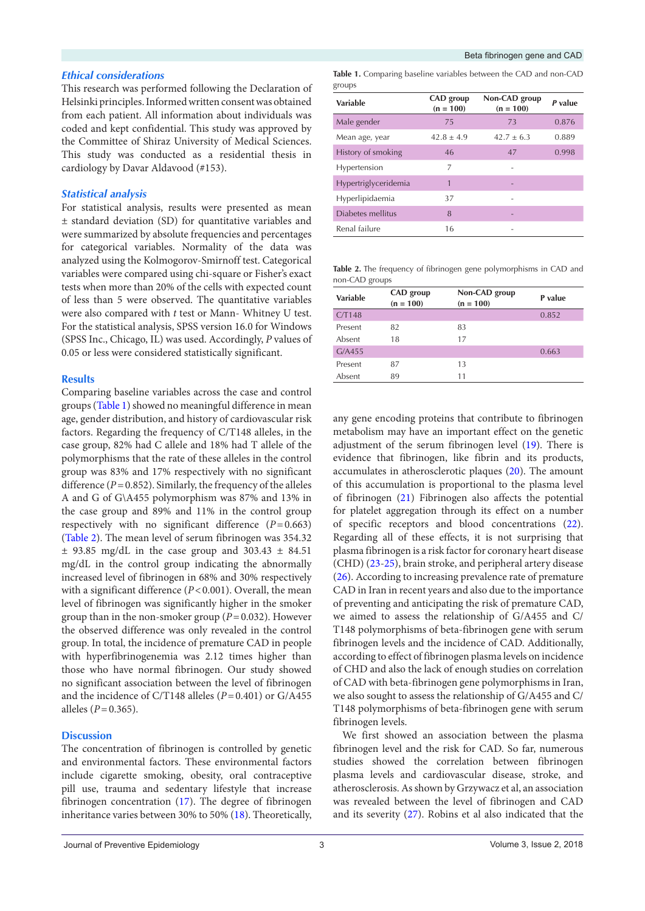#### *Ethical considerations*

This research was performed following the Declaration of Helsinki principles. Informed written consent was obtained from each patient. All information about individuals was coded and kept confidential. This study was approved by the Committee of Shiraz University of Medical Sciences. This study was conducted as a residential thesis in cardiology by Davar Aldavood (#153).

## *Statistical analysis*

For statistical analysis, results were presented as mean ± standard deviation (SD) for quantitative variables and were summarized by absolute frequencies and percentages for categorical variables. Normality of the data was analyzed using the Kolmogorov-Smirnoff test. Categorical variables were compared using chi-square or Fisher's exact tests when more than 20% of the cells with expected count of less than 5 were observed. The quantitative variables were also compared with *t* test or Mann- Whitney U test. For the statistical analysis, SPSS version 16.0 for Windows (SPSS Inc., Chicago, IL) was used. Accordingly, *P* values of 0.05 or less were considered statistically significant.

#### **Results**

Comparing baseline variables across the case and control groups [\(Table 1](#page-2-0)) showed no meaningful difference in mean age, gender distribution, and history of cardiovascular risk factors. Regarding the frequency of C/T148 alleles, in the case group, 82% had C allele and 18% had T allele of the polymorphisms that the rate of these alleles in the control group was 83% and 17% respectively with no significant difference  $(P=0.852)$ . Similarly, the frequency of the alleles A and G of G\A455 polymorphism was 87% and 13% in the case group and 89% and 11% in the control group respectively with no significant difference  $(P=0.663)$ [\(Table 2\)](#page-2-1). The mean level of serum fibrinogen was 354.32  $\pm$  93.85 mg/dL in the case group and 303.43  $\pm$  84.51 mg/dL in the control group indicating the abnormally increased level of fibrinogen in 68% and 30% respectively with a significant difference ( $P < 0.001$ ). Overall, the mean level of fibrinogen was significantly higher in the smoker group than in the non-smoker group (*P*=0.032). However the observed difference was only revealed in the control group. In total, the incidence of premature CAD in people with hyperfibrinogenemia was 2.12 times higher than those who have normal fibrinogen. Our study showed no significant association between the level of fibrinogen and the incidence of C/T148 alleles (*P*=0.401) or G/A455 alleles ( $P = 0.365$ ).

## **Discussion**

The concentration of fibrinogen is controlled by genetic and environmental factors. These environmental factors include cigarette smoking, obesity, oral contraceptive pill use, trauma and sedentary lifestyle that increase fibrinogen concentration [\(17\)](#page-4-0). The degree of fibrinogen inheritance varies between 30% to 50% [\(18\)](#page-4-1). Theoretically,

<span id="page-2-0"></span>

| <b>Table 1.</b> Comparing baseline variables between the CAD and non-CAD |  |  |  |
|--------------------------------------------------------------------------|--|--|--|
| groups                                                                   |  |  |  |

| Variable             | CAD group<br>$(n = 100)$ | Non-CAD group<br>$(n = 100)$ | P value |
|----------------------|--------------------------|------------------------------|---------|
| Male gender          | 75                       | 73                           | 0.876   |
| Mean age, year       | $42.8 + 4.9$             | $42.7 + 6.3$                 | 0.889   |
| History of smoking   | 46                       | 47                           | 0.998   |
| Hypertension         | 7                        |                              |         |
| Hypertriglyceridemia | 1                        |                              |         |
| Hyperlipidaemia      | 37                       |                              |         |
| Diabetes mellitus    | 8                        |                              |         |
| Renal failure        | 16                       |                              |         |

<span id="page-2-1"></span>**Table 2.** The frequency of fibrinogen gene polymorphisms in CAD and non-CAD groups

| <b>Variable</b> | CAD group<br>$(n = 100)$ | Non-CAD group<br>$(n = 100)$ | P value |
|-----------------|--------------------------|------------------------------|---------|
| CT148           |                          |                              | 0.852   |
| Present         | 82                       | 83                           |         |
| Absent          | 18                       | 17                           |         |
| G/A455          |                          |                              | 0.663   |
| Present         | 87                       | 13                           |         |
| Absent          | 89                       | 11                           |         |

any gene encoding proteins that contribute to fibrinogen metabolism may have an important effect on the genetic adjustment of the serum fibrinogen level [\(19](#page-4-2)). There is evidence that fibrinogen, like fibrin and its products, accumulates in atherosclerotic plaques [\(20\)](#page-4-3). The amount of this accumulation is proportional to the plasma level of fibrinogen ([21](#page-4-4)) Fibrinogen also affects the potential for platelet aggregation through its effect on a number of specific receptors and blood concentrations [\(22\)](#page-4-5). Regarding all of these effects, it is not surprising that plasma fibrinogen is a risk factor for coronary heart disease (CHD) ([23](#page-4-6)-[25](#page-4-7)), brain stroke, and peripheral artery disease [\(26\)](#page-4-8). According to increasing prevalence rate of premature CAD in Iran in recent years and also due to the importance of preventing and anticipating the risk of premature CAD, we aimed to assess the relationship of G/A455 and C/ T148 polymorphisms of beta-fibrinogen gene with serum fibrinogen levels and the incidence of CAD. Additionally, according to effect of fibrinogen plasma levels on incidence of CHD and also the lack of enough studies on correlation of CAD with beta-fibrinogen gene polymorphisms in Iran, we also sought to assess the relationship of G/A455 and C/ T148 polymorphisms of beta-fibrinogen gene with serum fibrinogen levels.

We first showed an association between the plasma fibrinogen level and the risk for CAD. So far, numerous studies showed the correlation between fibrinogen plasma levels and cardiovascular disease, stroke, and atherosclerosis. As shown by Grzywacz et al, an association was revealed between the level of fibrinogen and CAD and its severity [\(27\)](#page-4-9). Robins et al also indicated that the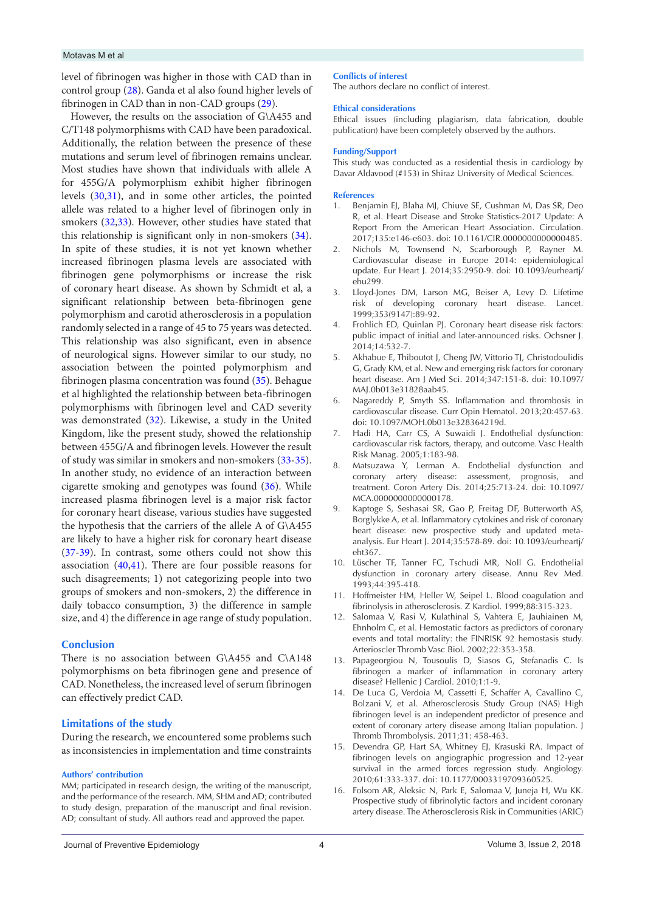#### Motavas M et al

level of fibrinogen was higher in those with CAD than in control group [\(28\)](#page-4-10). Ganda et al also found higher levels of fibrinogen in CAD than in non-CAD groups [\(29\)](#page-4-11).

However, the results on the association of G\A455 and C/T148 polymorphisms with CAD have been paradoxical. Additionally, the relation between the presence of these mutations and serum level of fibrinogen remains unclear. Most studies have shown that individuals with allele A for 455G/A polymorphism exhibit higher fibrinogen levels ([30](#page-4-12),[31](#page-4-13)), and in some other articles, the pointed allele was related to a higher level of fibrinogen only in smokers ([32](#page-4-14),[33](#page-4-15)). However, other studies have stated that this relationship is significant only in non-smokers [\(34\)](#page-4-16). In spite of these studies, it is not yet known whether increased fibrinogen plasma levels are associated with fibrinogen gene polymorphisms or increase the risk of coronary heart disease. As shown by Schmidt et al, a significant relationship between beta-fibrinogen gene polymorphism and carotid atherosclerosis in a population randomly selected in a range of 45 to 75 years was detected. This relationship was also significant, even in absence of neurological signs. However similar to our study, no association between the pointed polymorphism and fibrinogen plasma concentration was found ([35\)](#page-4-17). Behague et al highlighted the relationship between beta-fibrinogen polymorphisms with fibrinogen level and CAD severity was demonstrated ([32\)](#page-4-14). Likewise, a study in the United Kingdom, like the present study, showed the relationship between 455G/A and fibrinogen levels. However the result of study was similar in smokers and non-smokers [\(33](#page-4-15)[-35\)](#page-4-17). In another study, no evidence of an interaction between cigarette smoking and genotypes was found [\(36\)](#page-4-18). While increased plasma fibrinogen level is a major risk factor for coronary heart disease, various studies have suggested the hypothesis that the carriers of the allele A of G\A455 are likely to have a higher risk for coronary heart disease [\(37](#page-4-19)[-39\)](#page-4-20). In contrast, some others could not show this association ([40](#page-4-21),[41](#page-4-22)). There are four possible reasons for such disagreements; 1) not categorizing people into two groups of smokers and non-smokers, 2) the difference in daily tobacco consumption, 3) the difference in sample size, and 4) the difference in age range of study population.

## **Conclusion**

There is no association between G\A455 and C\A148 polymorphisms on beta fibrinogen gene and presence of CAD. Nonetheless, the increased level of serum fibrinogen can effectively predict CAD.

#### **Limitations of the study**

During the research, we encountered some problems such as inconsistencies in implementation and time constraints

#### **Authors' contribution**

MM; participated in research design, the writing of the manuscript, and the performance of the research. MM, SHM and AD; contributed to study design, preparation of the manuscript and final revision. AD; consultant of study. All authors read and approved the paper.

#### **Conflicts of interest**

The authors declare no conflict of interest.

#### **Ethical considerations**

Ethical issues (including plagiarism, data fabrication, double publication) have been completely observed by the authors.

#### **Funding/Support**

This study was conducted as a residential thesis in cardiology by Davar Aldavood (#153) in Shiraz University of Medical Sciences.

#### **References**

- 1. Benjamin EJ, Blaha MJ, Chiuve SE, Cushman M, Das SR, Deo R, et al. Heart Disease and Stroke Statistics-2017 Update: A Report From the American Heart Association. Circulation. 2017;135:e146-e603. doi: 10.1161/CIR.0000000000000485.
- <span id="page-3-0"></span>2. Nichols M, Townsend N, Scarborough P, Rayner M. Cardiovascular disease in Europe 2014: epidemiological update. Eur Heart J. 2014;35:2950-9. doi: 10.1093/eurheartj/ ehu299.
- 3. Lloyd-Jones DM, Larson MG, Beiser A, Levy D. Lifetime risk of developing coronary heart disease. Lancet. 1999;353(9147):89-92.
- <span id="page-3-1"></span>4. Frohlich ED, Quinlan PJ. Coronary heart disease risk factors: public impact of initial and later-announced risks. Ochsner J. 2014;14:532-7.
- <span id="page-3-2"></span>5. Akhabue E, Thiboutot J, Cheng JW, Vittorio TJ, Christodoulidis G, Grady KM, et al. New and emerging risk factors for coronary heart disease. Am J Med Sci. 2014;347:151-8. doi: 10.1097/ MAJ.0b013e31828aab45.
- <span id="page-3-3"></span>6. Nagareddy P, Smyth SS. Inflammation and thrombosis in cardiovascular disease. Curr Opin Hematol. 2013;20:457-63. doi: 10.1097/MOH.0b013e328364219d.
- <span id="page-3-4"></span>Hadi HA, Carr CS, A Suwaidi J. Endothelial dysfunction: cardiovascular risk factors, therapy, and outcome. Vasc Health Risk Manag. 2005;1:183-98.
- <span id="page-3-5"></span>8. Matsuzawa Y, Lerman A. Endothelial dysfunction and coronary artery disease: assessment, prognosis, and treatment. Coron Artery Dis. 2014;25:713-24. doi: 10.1097/ MCA.0000000000000178.
- <span id="page-3-6"></span>9. Kaptoge S, Seshasai SR, Gao P, Freitag DF, Butterworth AS, Borglykke A, et al. Inflammatory cytokines and risk of coronary heart disease: new prospective study and updated metaanalysis. Eur Heart J. 2014;35:578-89. doi: 10.1093/eurheartj/ eht367.
- <span id="page-3-7"></span>10. Lüscher TF, Tanner FC, Tschudi MR, Noll G. Endothelial dysfunction in coronary artery disease. Annu Rev Med. 1993;44:395-418.
- <span id="page-3-8"></span>11. Hoffmeister HM, Heller W, Seipel L. Blood coagulation and fibrinolysis in atherosclerosis. Z Kardiol. 1999;88:315-323.
- <span id="page-3-9"></span>12. Salomaa V, Rasi V, Kulathinal S, Vahtera E, Jauhiainen M, Ehnholm C, et al. Hemostatic factors as predictors of coronary events and total mortality: the FINRISK 92 hemostasis study. Arterioscler Thromb Vasc Biol. 2002;22:353-358.
- <span id="page-3-10"></span>13. Papageorgiou N, Tousoulis D, Siasos G, Stefanadis C. Is fibrinogen a marker of inflammation in coronary artery disease? Hellenic J Cardiol. 2010;1:1-9.
- <span id="page-3-11"></span>14. De Luca G, Verdoia M, Cassetti E, Schaffer A, Cavallino C, Bolzani V, et al. Atherosclerosis Study Group (NAS) High fibrinogen level is an independent predictor of presence and extent of coronary artery disease among Italian population. J Thromb Thrombolysis. 2011;31: 458-463.
- <span id="page-3-12"></span>15. Devendra GP, Hart SA, Whitney EJ, Krasuski RA. Impact of fibrinogen levels on angiographic progression and 12-year survival in the armed forces regression study. Angiology. 2010;61:333-337. doi: 10.1177/0003319709360525.
- <span id="page-3-13"></span>16. Folsom AR, Aleksic N, Park E, Salomaa V, Juneja H, Wu KK. Prospective study of fibrinolytic factors and incident coronary artery disease. The Atherosclerosis Risk in Communities (ARIC)